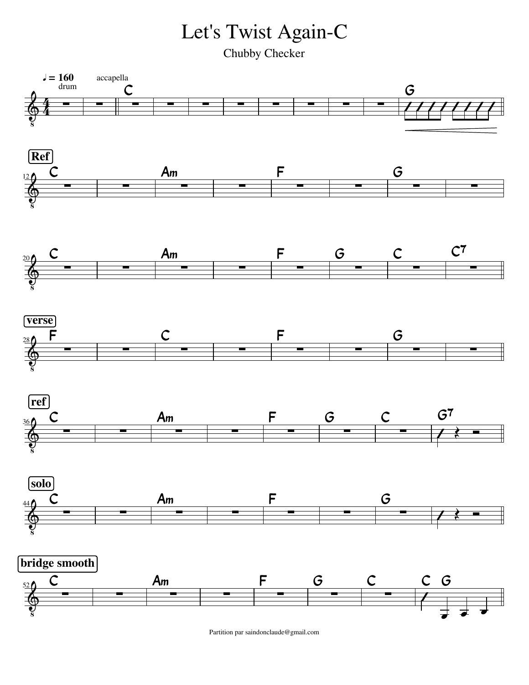Let's Twist Again-C

Chubby Checker



Partition par saindonclaude@gmail.com